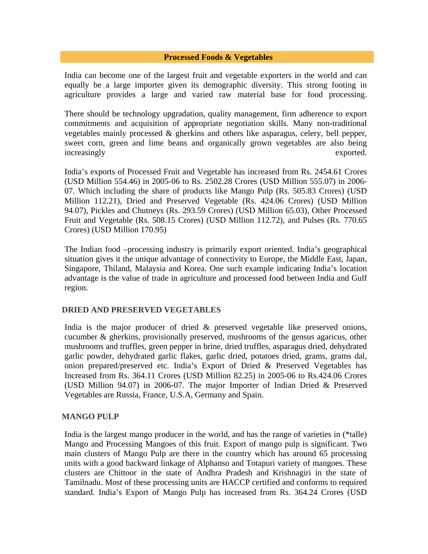# **Processed Foods & Vegetables**

India can become one of the largest fruit and vegetable exporters in the world and can equally be a large importer given its demographic diversity. This strong footing in agriculture provides a large and varied raw material base for food processing.

There should be technology upgradation, quality management, firm adherence to export commitments and acquisition of appropriate negotiation skills. Many non-traditional vegetables mainly processed & gherkins and others like asparagus, celery, bell pepper, sweet corn, green and lime beans and organically grown vegetables are also being increasingly exported.

India's exports of Processed Fruit and Vegetable has increased from Rs. 2454.61 Crores (USD Million 554.46) in 2005-06 to Rs. 2502.28 Crores (USD Million 555.07) in 2006- 07. Which including the share of products like Mango Pulp (Rs. 505.83 Crores) (USD Million 112.21), Dried and Preserved Vegetable (Rs. 424.06 Crores) (USD Million 94.07), Pickles and Chutneys (Rs. 293.59 Crores) (USD Million 65.03), Other Processed Fruit and Vegetable (Rs. 508.15 Crores) (USD Million 112.72), and Pulses (Rs. 770.65 Crores) (USD Million 170.95)

The Indian food –processing industry is primarily export oriented. India's geographical situation gives it the unique advantage of connectivity to Europe, the Middle East, Japan, Singapore, Thiland, Malaysia and Korea. One such example indicating India's location advantage is the value of trade in agriculture and processed food between India and Gulf region.

#### **DRIED AND PRESERVED VEGETABLES**

India is the major producer of dried & preserved vegetable like preserved onions, cucumber & gherkins, provisionally preserved, mushrooms of the gensus agaricus, other mushrooms and truffles, green pepper in brine, dried truffles, asparagus dried, dehydrated garlic powder, dehydrated garlic flakes, garlic dried, potatoes dried, grams, grams dal, onion prepared/preserved etc. India's Export of Dried & Preserved Vegetables has Increased from Rs. 364.11 Crores (USD Million 82.25) in 2005-06 to Rs.424.06 Crores (USD Million 94.07) in 2006-07. The major Importer of Indian Dried & Preserved Vegetables are Russia, France, U.S.A, Germany and Spain.

#### **MANGO PULP**

India is the largest mango producer in the world, and has the range of varieties in (\*talle) Mango and Processing Mangoes of this fruit. Export of mango pulp is significant. Two main clusters of Mango Pulp are there in the country which has around 65 processing units with a good backward linkage of Alphanso and Totapuri variety of mangoes. These clusters are Chittoor in the state of Andhra Pradesh and Krishnagiri in the state of Tamilnadu. Most of these processing units are HACCP certified and conforms to required standard. India's Export of Mango Pulp has increased from Rs. 364.24 Crores (USD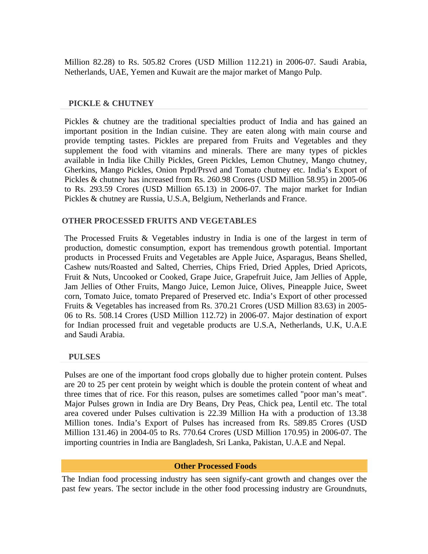Million 82.28) to Rs. 505.82 Crores (USD Million 112.21) in 2006-07. Saudi Arabia, Netherlands, UAE, Yemen and Kuwait are the major market of Mango Pulp.

### **PICKLE & CHUTNEY**

Pickles & chutney are the traditional specialties product of India and has gained an important position in the Indian cuisine. They are eaten along with main course and provide tempting tastes. Pickles are prepared from Fruits and Vegetables and they supplement the food with vitamins and minerals. There are many types of pickles available in India like Chilly Pickles, Green Pickles, Lemon Chutney, Mango chutney, Gherkins, Mango Pickles, Onion Prpd/Prsvd and Tomato chutney etc. India's Export of Pickles & chutney has increased from Rs. 260.98 Crores (USD Million 58.95) in 2005-06 to Rs. 293.59 Crores (USD Million 65.13) in 2006-07. The major market for Indian Pickles & chutney are Russia, U.S.A, Belgium, Netherlands and France.

# **OTHER PROCESSED FRUITS AND VEGETABLES**

The Processed Fruits & Vegetables industry in India is one of the largest in term of production, domestic consumption, export has tremendous growth potential. Important products in Processed Fruits and Vegetables are Apple Juice, Asparagus, Beans Shelled, Cashew nuts/Roasted and Salted, Cherries, Chips Fried, Dried Apples, Dried Apricots, Fruit & Nuts, Uncooked or Cooked, Grape Juice, Grapefruit Juice, Jam Jellies of Apple, Jam Jellies of Other Fruits, Mango Juice, Lemon Juice, Olives, Pineapple Juice, Sweet corn, Tomato Juice, tomato Prepared of Preserved etc. India's Export of other processed Fruits & Vegetables has increased from Rs. 370.21 Crores (USD Million 83.63) in 2005- 06 to Rs. 508.14 Crores (USD Million 112.72) in 2006-07. Major destination of export for Indian processed fruit and vegetable products are U.S.A, Netherlands, U.K, U.A.E and Saudi Arabia.

#### **PULSES**

Pulses are one of the important food crops globally due to higher protein content. Pulses are 20 to 25 per cent protein by weight which is double the protein content of wheat and three times that of rice. For this reason, pulses are sometimes called "poor man's meat". Major Pulses grown in India are Dry Beans, Dry Peas, Chick pea, Lentil etc. The total area covered under Pulses cultivation is 22.39 Million Ha with a production of 13.38 Million tones. India's Export of Pulses has increased from Rs. 589.85 Crores (USD Million 131.46) in 2004-05 to Rs. 770.64 Crores (USD Million 170.95) in 2006-07. The importing countries in India are Bangladesh, Sri Lanka, Pakistan, U.A.E and Nepal.

#### **Other Processed Foods**

The Indian food processing industry has seen signify-cant growth and changes over the past few years. The sector include in the other food processing industry are Groundnuts,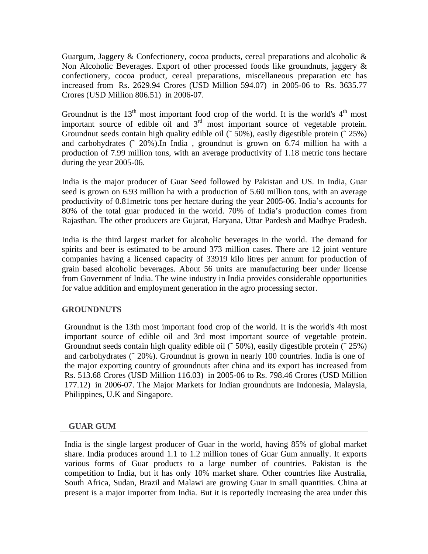Guargum, Jaggery & Confectionery, cocoa products, cereal preparations and alcoholic & Non Alcoholic Beverages. Export of other processed foods like groundnuts, jaggery & confectionery, cocoa product, cereal preparations, miscellaneous preparation etc has increased from Rs. 2629.94 Crores (USD Million 594.07) in 2005-06 to Rs. 3635.77 Crores (USD Million 806.51) in 2006-07.

Groundnut is the  $13<sup>th</sup>$  most important food crop of the world. It is the world's  $4<sup>th</sup>$  most important source of edible oil and  $3<sup>rd</sup>$  most important source of vegetable protein. Groundnut seeds contain high quality edible oil (~50%), easily digestible protein (~25%) and carbohydrates (˜ 20%).In India , groundnut is grown on 6.74 million ha with a production of 7.99 million tons, with an average productivity of 1.18 metric tons hectare during the year 2005-06.

India is the major producer of Guar Seed followed by Pakistan and US. In India, Guar seed is grown on 6.93 million ha with a production of 5.60 million tons, with an average productivity of 0.81metric tons per hectare during the year 2005-06. India's accounts for 80% of the total guar produced in the world. 70% of India's production comes from Rajasthan. The other producers are Gujarat, Haryana, Uttar Pardesh and Madhye Pradesh.

India is the third largest market for alcoholic beverages in the world. The demand for spirits and beer is estimated to be around 373 million cases. There are 12 joint venture companies having a licensed capacity of 33919 kilo litres per annum for production of grain based alcoholic beverages. About 56 units are manufacturing beer under license from Government of India. The wine industry in India provides considerable opportunities for value addition and employment generation in the agro processing sector.

# **GROUNDNUTS**

Groundnut is the 13th most important food crop of the world. It is the world's 4th most important source of edible oil and 3rd most important source of vegetable protein. Groundnut seeds contain high quality edible oil (~50%), easily digestible protein (~25%) and carbohydrates (˜ 20%). Groundnut is grown in nearly 100 countries. India is one of the major exporting country of groundnuts after china and its export has increased from Rs. 513.68 Crores (USD Million 116.03) in 2005-06 to Rs. 798.46 Crores (USD Million 177.12) in 2006-07. The Major Markets for Indian groundnuts are Indonesia, Malaysia, Philippines, U.K and Singapore.

#### **GUAR GUM**

India is the single largest producer of Guar in the world, having 85% of global market share. India produces around 1.1 to 1.2 million tones of Guar Gum annually. It exports various forms of Guar products to a large number of countries. Pakistan is the competition to India, but it has only 10% market share. Other countries like Australia, South Africa, Sudan, Brazil and Malawi are growing Guar in small quantities. China at present is a major importer from India. But it is reportedly increasing the area under this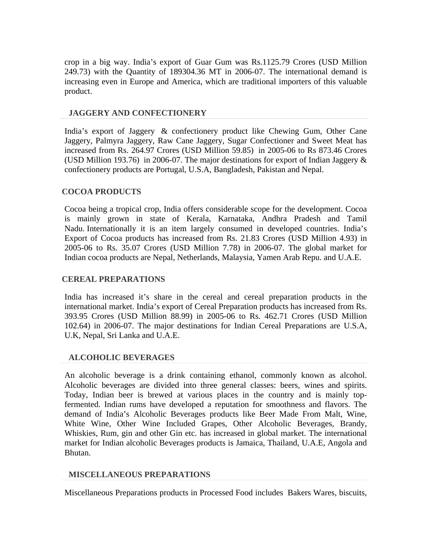crop in a big way. India's export of Guar Gum was Rs.1125.79 Crores (USD Million 249.73) with the Quantity of 189304.36 MT in 2006-07. The international demand is increasing even in Europe and America, which are traditional importers of this valuable product.

### **JAGGERY AND CONFECTIONERY**

India's export of Jaggery & confectionery product like Chewing Gum, Other Cane Jaggery, Palmyra Jaggery, Raw Cane Jaggery, Sugar Confectioner and Sweet Meat has increased from Rs. 264.97 Crores (USD Million 59.85) in 2005-06 to Rs 873.46 Crores (USD Million 193.76) in 2006-07. The major destinations for export of Indian Jaggery & confectionery products are Portugal, U.S.A, Bangladesh, Pakistan and Nepal.

# **COCOA PRODUCTS**

Cocoa being a tropical crop, India offers considerable scope for the development. Cocoa is mainly grown in state of Kerala, Karnataka, Andhra Pradesh and Tamil Nadu. Internationally it is an item largely consumed in developed countries. India's Export of Cocoa products has increased from Rs. 21.83 Crores (USD Million 4.93) in 2005-06 to Rs. 35.07 Crores (USD Million 7.78) in 2006-07. The global market for Indian cocoa products are Nepal, Netherlands, Malaysia, Yamen Arab Repu. and U.A.E.

### **CEREAL PREPARATIONS**

India has increased it's share in the cereal and cereal preparation products in the international market. India's export of Cereal Preparation products has increased from Rs. 393.95 Crores (USD Million 88.99) in 2005-06 to Rs. 462.71 Crores (USD Million 102.64) in 2006-07. The major destinations for Indian Cereal Preparations are U.S.A, U.K, Nepal, Sri Lanka and U.A.E.

# **ALCOHOLIC BEVERAGES**

An alcoholic beverage is a drink containing ethanol, commonly known as alcohol. Alcoholic beverages are divided into three general classes: beers, wines and spirits. Today, Indian beer is brewed at various places in the country and is mainly topfermented. Indian rums have developed a reputation for smoothness and flavors. The demand of India's Alcoholic Beverages products like Beer Made From Malt, Wine, White Wine, Other Wine Included Grapes, Other Alcoholic Beverages, Brandy, Whiskies, Rum, gin and other Gin etc. has increased in global market. The international market for Indian alcoholic Beverages products is Jamaica, Thailand, U.A.E, Angola and Bhutan.

# **MISCELLANEOUS PREPARATIONS**

Miscellaneous Preparations products in Processed Food includes Bakers Wares, biscuits,